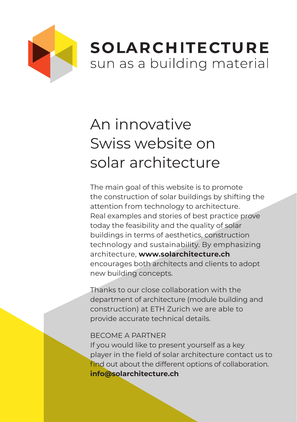

## **SOLARCHITECTURE** sun as a building material

## An innovative Swiss website on solar architecture

The main goal of this website is to promote the construction of solar buildings by shifting the attention from technology to architecture. Real examples and stories of best practice prove today the feasibility and the quality of solar buildings in terms of aesthetics, construction technology and sustainability. By emphasizing architecture, **www.solarchitecture.ch** encourages both architects and clients to adopt new building concepts.

Thanks to our close collaboration with the department of architecture (module building and construction) at ETH Zurich we are able to provide accurate technical details.

## BECOME A PARTNER

If you would like to present yourself as a key player in the field of solar architecture contact us to find out about the different options of collaboration. **info@solarchitecture.ch**